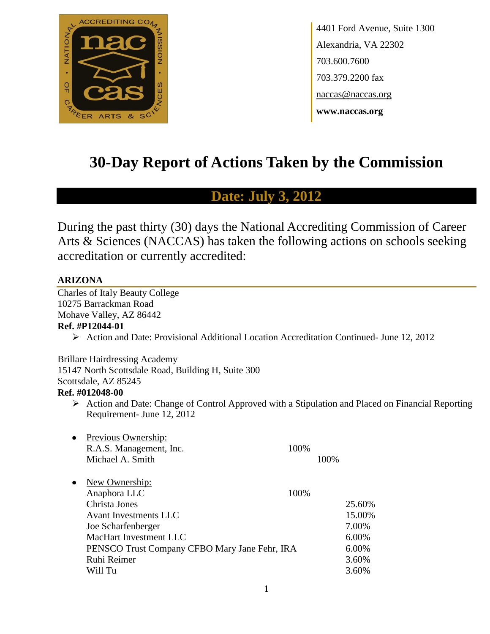

4401 Ford Avenue, Suite 1300 Alexandria, VA 22302 703.600.7600 703.379.2200 fax naccas@naccas.org **www.naccas.org**

# **30-Day Report of Actions Taken by the Commission**

# **Date: July 3, 2012**

During the past thirty (30) days the National Accrediting Commission of Career Arts & Sciences (NACCAS) has taken the following actions on schools seeking accreditation or currently accredited:

# **ARIZONA**

Charles of Italy Beauty College 10275 Barrackman Road Mohave Valley, AZ 86442 **Ref. #P12044-01**

Action and Date: Provisional Additional Location Accreditation Continued- June 12, 2012

Brillare Hairdressing Academy 15147 North Scottsdale Road, Building H, Suite 300 Scottsdale, AZ 85245 **Ref. #012048-00**

 $\triangleright$  Action and Date: Change of Control Approved with a Stipulation and Placed on Financial Reporting Requirement- June 12, 2012

| $\bullet$ | Previous Ownership:                           |      |      |        |
|-----------|-----------------------------------------------|------|------|--------|
|           | R.A.S. Management, Inc.                       | 100% |      |        |
|           | Michael A. Smith                              |      | 100% |        |
|           |                                               |      |      |        |
| ٠         | New Ownership:                                |      |      |        |
|           | Anaphora LLC                                  | 100% |      |        |
|           | Christa Jones                                 |      |      | 25.60% |
|           | Avant Investments LLC                         |      |      | 15.00% |
|           | Joe Scharfenberger                            |      |      | 7.00%  |
|           | MacHart Investment LLC                        |      |      | 6.00%  |
|           | PENSCO Trust Company CFBO Mary Jane Fehr, IRA |      |      | 6.00%  |
|           | Ruhi Reimer                                   |      |      | 3.60%  |
|           | Will Tu                                       |      |      | 3.60%  |
|           |                                               |      |      |        |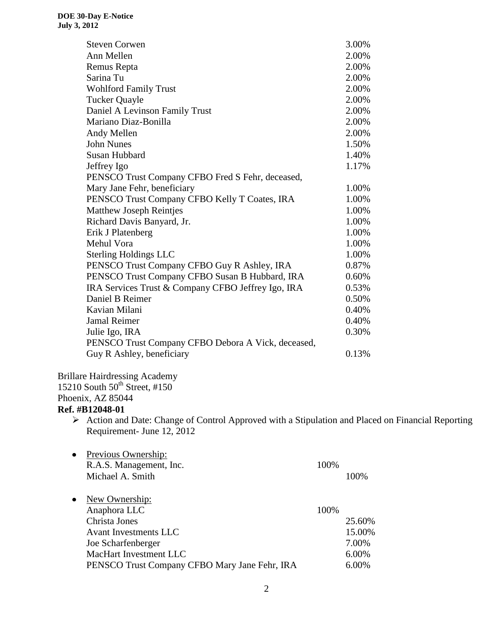| <b>Steven Corwen</b>                               | 3.00% |
|----------------------------------------------------|-------|
| Ann Mellen                                         | 2.00% |
| Remus Repta                                        | 2.00% |
| Sarina Tu                                          | 2.00% |
| <b>Wohlford Family Trust</b>                       | 2.00% |
| <b>Tucker Quayle</b>                               | 2.00% |
| Daniel A Levinson Family Trust                     | 2.00% |
| Mariano Diaz-Bonilla                               | 2.00% |
| Andy Mellen                                        | 2.00% |
| <b>John Nunes</b>                                  | 1.50% |
| Susan Hubbard                                      | 1.40% |
| Jeffrey Igo                                        | 1.17% |
| PENSCO Trust Company CFBO Fred S Fehr, deceased,   |       |
| Mary Jane Fehr, beneficiary                        | 1.00% |
| PENSCO Trust Company CFBO Kelly T Coates, IRA      | 1.00% |
| Matthew Joseph Reintjes                            | 1.00% |
| Richard Davis Banyard, Jr.                         | 1.00% |
| Erik J Platenberg                                  | 1.00% |
| Mehul Vora                                         | 1.00% |
| <b>Sterling Holdings LLC</b>                       | 1.00% |
| PENSCO Trust Company CFBO Guy R Ashley, IRA        | 0.87% |
| PENSCO Trust Company CFBO Susan B Hubbard, IRA     | 0.60% |
| IRA Services Trust & Company CFBO Jeffrey Igo, IRA | 0.53% |
| Daniel B Reimer                                    | 0.50% |
| Kavian Milani                                      | 0.40% |
| <b>Jamal Reimer</b>                                | 0.40% |
| Julie Igo, IRA                                     | 0.30% |
| PENSCO Trust Company CFBO Debora A Vick, deceased, |       |
| Guy R Ashley, beneficiary                          | 0.13% |

Brillare Hairdressing Academy 15210 South  $50^{th}$  Street, #150 Phoenix, AZ 85044

# **Ref. #B12048-01**

 $\triangleright$  Action and Date: Change of Control Approved with a Stipulation and Placed on Financial Reporting Requirement- June 12, 2012

| $\bullet$ | Previous Ownership:<br>R.A.S. Management, Inc.<br>Michael A. Smith | 100% | 100%   |
|-----------|--------------------------------------------------------------------|------|--------|
| $\bullet$ | New Ownership:                                                     |      |        |
|           | Anaphora LLC                                                       | 100% |        |
|           | Christa Jones                                                      |      | 25.60% |
|           | <b>Avant Investments LLC</b>                                       |      | 15.00% |
|           | Joe Scharfenberger                                                 |      | 7.00%  |
|           | MacHart Investment LLC                                             |      | 6.00%  |
|           | PENSCO Trust Company CFBO Mary Jane Fehr, IRA                      |      | 6.00%  |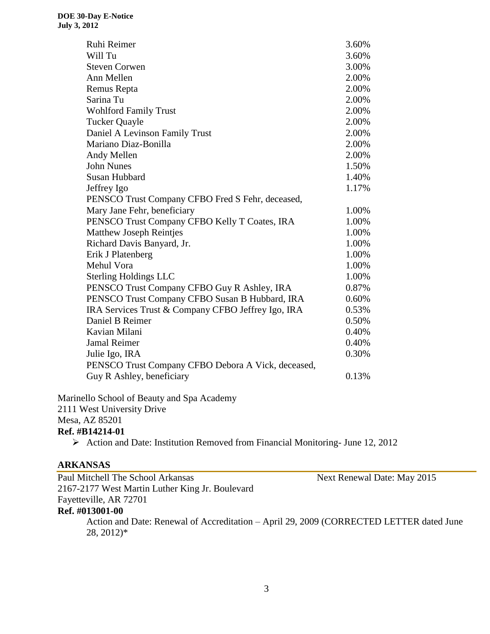| Ruhi Reimer                                        | 3.60% |
|----------------------------------------------------|-------|
| Will Tu                                            | 3.60% |
| <b>Steven Corwen</b>                               | 3.00% |
| Ann Mellen                                         | 2.00% |
| Remus Repta                                        | 2.00% |
| Sarina Tu                                          | 2.00% |
| <b>Wohlford Family Trust</b>                       | 2.00% |
| <b>Tucker Quayle</b>                               | 2.00% |
| Daniel A Levinson Family Trust                     | 2.00% |
| Mariano Diaz-Bonilla                               | 2.00% |
| Andy Mellen                                        | 2.00% |
| <b>John Nunes</b>                                  | 1.50% |
| Susan Hubbard                                      | 1.40% |
| Jeffrey Igo                                        | 1.17% |
| PENSCO Trust Company CFBO Fred S Fehr, deceased,   |       |
| Mary Jane Fehr, beneficiary                        | 1.00% |
| PENSCO Trust Company CFBO Kelly T Coates, IRA      | 1.00% |
| <b>Matthew Joseph Reintjes</b>                     | 1.00% |
| Richard Davis Banyard, Jr.                         | 1.00% |
| Erik J Platenberg                                  | 1.00% |
| Mehul Vora                                         | 1.00% |
| <b>Sterling Holdings LLC</b>                       | 1.00% |
| PENSCO Trust Company CFBO Guy R Ashley, IRA        | 0.87% |
| PENSCO Trust Company CFBO Susan B Hubbard, IRA     | 0.60% |
| IRA Services Trust & Company CFBO Jeffrey Igo, IRA | 0.53% |
| Daniel B Reimer                                    | 0.50% |
| Kavian Milani                                      | 0.40% |
| <b>Jamal Reimer</b>                                | 0.40% |
| Julie Igo, IRA                                     | 0.30% |
| PENSCO Trust Company CFBO Debora A Vick, deceased, |       |
| Guy R Ashley, beneficiary                          | 0.13% |
|                                                    |       |

Marinello School of Beauty and Spa Academy 2111 West University Drive Mesa, AZ 85201

# **Ref. #B14214-01**

Action and Date: Institution Removed from Financial Monitoring- June 12, 2012

# **ARKANSAS**

| Paul Mitchell The School Arkansas               | Next Renewal Date: May 2015                                                             |
|-------------------------------------------------|-----------------------------------------------------------------------------------------|
| 2167-2177 West Martin Luther King Jr. Boulevard |                                                                                         |
| Fayetteville, AR 72701                          |                                                                                         |
| Ref. #013001-00                                 |                                                                                         |
|                                                 | Action and Date: Renewal of Accreditation – April 29, 2009 (CORRECTED LETTER dated June |
| $28, 2012$ <sup>*</sup>                         |                                                                                         |
|                                                 |                                                                                         |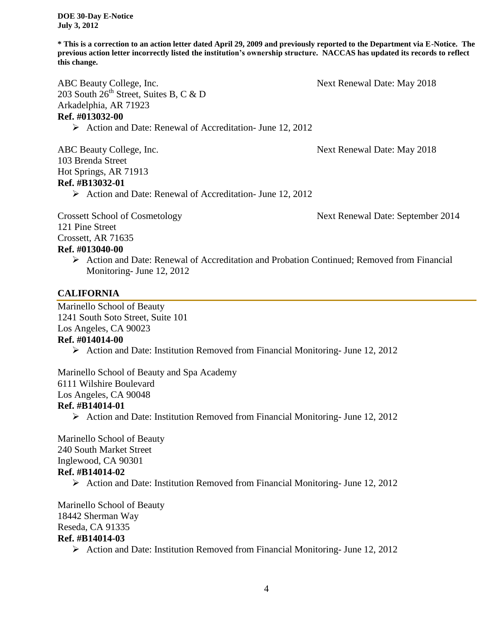**\* This is a correction to an action letter dated April 29, 2009 and previously reported to the Department via E-Notice. The previous action letter incorrectly listed the institution's ownership structure. NACCAS has updated its records to reflect this change.**

ABC Beauty College, Inc. The Second Second Second Second Second Second Second Second Second Second Second Second Second Second Second Second Second Second Second Second Second Second Second Second Second Second Second Seco 203 South  $26<sup>th</sup>$  Street, Suites B, C & D Arkadelphia, AR 71923 **Ref. #013032-00**

Action and Date: Renewal of Accreditation- June 12, 2012

ABC Beauty College, Inc. Next Renewal Date: May 2018 103 Brenda Street Hot Springs, AR 71913 **Ref. #B13032-01** Action and Date: Renewal of Accreditation- June 12, 2012

Crossett School of Cosmetology Next Renewal Date: September 2014 121 Pine Street Crossett, AR 71635 **Ref. #013040-00**

 Action and Date: Renewal of Accreditation and Probation Continued; Removed from Financial Monitoring- June 12, 2012

# **CALIFORNIA**

Marinello School of Beauty 1241 South Soto Street, Suite 101 Los Angeles, CA 90023 **Ref. #014014-00**

Action and Date: Institution Removed from Financial Monitoring- June 12, 2012

Marinello School of Beauty and Spa Academy 6111 Wilshire Boulevard Los Angeles, CA 90048 **Ref. #B14014-01**

 $\triangleright$  Action and Date: Institution Removed from Financial Monitoring- June 12, 2012

Marinello School of Beauty 240 South Market Street Inglewood, CA 90301 **Ref. #B14014-02**

Action and Date: Institution Removed from Financial Monitoring- June 12, 2012

Marinello School of Beauty 18442 Sherman Way Reseda, CA 91335 **Ref. #B14014-03**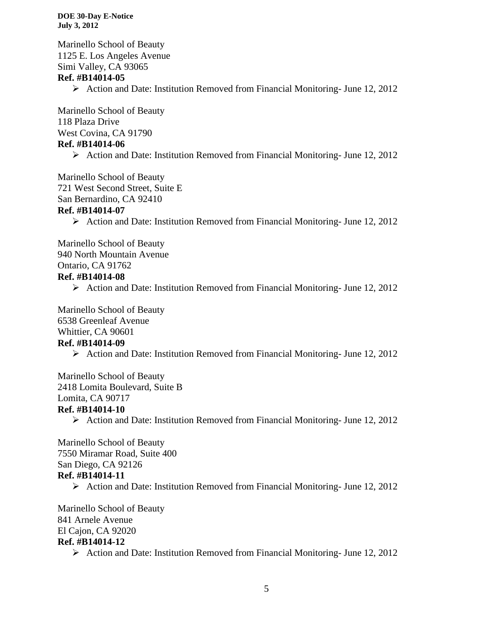Marinello School of Beauty 1125 E. Los Angeles Avenue Simi Valley, CA 93065 **Ref. #B14014-05**  $\triangleright$  Action and Date: Institution Removed from Financial Monitoring- June 12, 2012

Marinello School of Beauty 118 Plaza Drive West Covina, CA 91790 **Ref. #B14014-06**

 $\triangleright$  Action and Date: Institution Removed from Financial Monitoring- June 12, 2012

Marinello School of Beauty 721 West Second Street, Suite E San Bernardino, CA 92410

#### **Ref. #B14014-07**

 $\triangleright$  Action and Date: Institution Removed from Financial Monitoring- June 12, 2012

Marinello School of Beauty 940 North Mountain Avenue Ontario, CA 91762

#### **Ref. #B14014-08**

 $\triangleright$  Action and Date: Institution Removed from Financial Monitoring- June 12, 2012

Marinello School of Beauty 6538 Greenleaf Avenue Whittier, CA 90601

# **Ref. #B14014-09**

Action and Date: Institution Removed from Financial Monitoring- June 12, 2012

Marinello School of Beauty 2418 Lomita Boulevard, Suite B Lomita, CA 90717

#### **Ref. #B14014-10**

 $\triangleright$  Action and Date: Institution Removed from Financial Monitoring- June 12, 2012

Marinello School of Beauty 7550 Miramar Road, Suite 400 San Diego, CA 92126 **Ref. #B14014-11**

Action and Date: Institution Removed from Financial Monitoring- June 12, 2012

Marinello School of Beauty 841 Arnele Avenue El Cajon, CA 92020 **Ref. #B14014-12**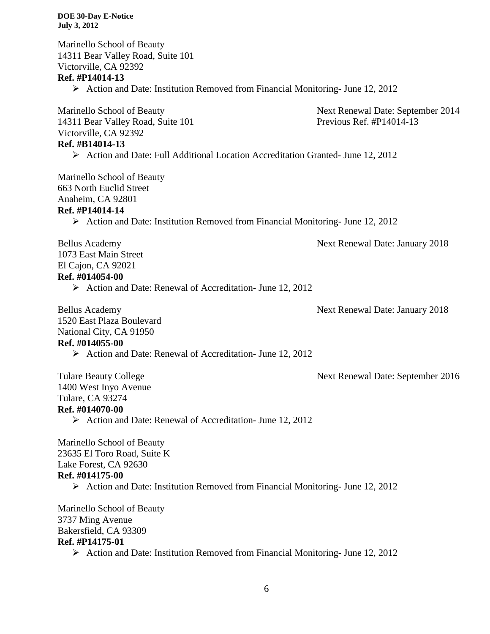| <b>DOE 30-Day E-Notice</b><br><b>July 3, 2012</b>                                                                                                                                                                                    |                                                               |
|--------------------------------------------------------------------------------------------------------------------------------------------------------------------------------------------------------------------------------------|---------------------------------------------------------------|
| Marinello School of Beauty<br>14311 Bear Valley Road, Suite 101<br>Victorville, CA 92392<br>Ref. #P14014-13                                                                                                                          |                                                               |
| $\triangleright$ Action and Date: Institution Removed from Financial Monitoring-June 12, 2012                                                                                                                                        |                                                               |
| Marinello School of Beauty<br>14311 Bear Valley Road, Suite 101<br>Victorville, CA 92392<br>Ref. #B14014-13                                                                                                                          | Next Renewal Date: September 2014<br>Previous Ref. #P14014-13 |
| $\triangleright$ Action and Date: Full Additional Location Accreditation Granted- June 12, 2012                                                                                                                                      |                                                               |
| Marinello School of Beauty<br>663 North Euclid Street<br>Anaheim, CA 92801<br>Ref. #P14014-14<br>$\triangleright$ Action and Date: Institution Removed from Financial Monitoring-June 12, 2012                                       |                                                               |
| <b>Bellus Academy</b><br>1073 East Main Street<br>El Cajon, CA 92021<br>Ref. #014054-00<br>$\triangleright$ Action and Date: Renewal of Accreditation- June 12, 2012                                                                 | Next Renewal Date: January 2018                               |
| <b>Bellus Academy</b><br>1520 East Plaza Boulevard<br>National City, CA 91950<br>Ref. #014055-00<br>> Action and Date: Renewal of Accreditation- June 12, 2012                                                                       | Next Renewal Date: January 2018                               |
| <b>Tulare Beauty College</b><br>1400 West Inyo Avenue<br>Tulare, CA 93274<br>Ref. #014070-00<br>$\triangleright$ Action and Date: Renewal of Accreditation- June 12, 2012                                                            | Next Renewal Date: September 2016                             |
| Marinello School of Beauty<br>23635 El Toro Road, Suite K<br>Lake Forest, CA 92630<br>Ref. #014175-00<br>$\triangleright$ Action and Date: Institution Removed from Financial Monitoring-June 12, 2012<br>Marinello School of Beauty |                                                               |
| 3737 Ming Avenue<br>Bakersfield, CA 93309<br>Ref. #P14175-01<br>$\triangleright$ Action and Date: Institution Removed from Financial Monitoring-June 12, 2012                                                                        |                                                               |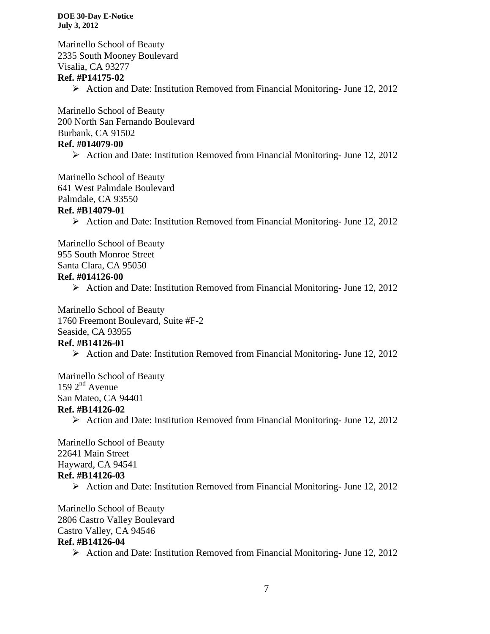Marinello School of Beauty 2335 South Mooney Boulevard Visalia, CA 93277

#### **Ref. #P14175-02**

 $\triangleright$  Action and Date: Institution Removed from Financial Monitoring- June 12, 2012

Marinello School of Beauty 200 North San Fernando Boulevard Burbank, CA 91502 **Ref. #014079-00**

 $\triangleright$  Action and Date: Institution Removed from Financial Monitoring- June 12, 2012

Marinello School of Beauty 641 West Palmdale Boulevard Palmdale, CA 93550

# **Ref. #B14079-01**

 $\triangleright$  Action and Date: Institution Removed from Financial Monitoring- June 12, 2012

Marinello School of Beauty 955 South Monroe Street

Santa Clara, CA 95050

# **Ref. #014126-00**

 $\triangleright$  Action and Date: Institution Removed from Financial Monitoring-June 12, 2012

Marinello School of Beauty 1760 Freemont Boulevard, Suite #F-2 Seaside, CA 93955

#### **Ref. #B14126-01**

Action and Date: Institution Removed from Financial Monitoring- June 12, 2012

Marinello School of Beauty  $159 \, 2^{nd}$  Avenue San Mateo, CA 94401 **Ref. #B14126-02**

 $\triangleright$  Action and Date: Institution Removed from Financial Monitoring- June 12, 2012

Marinello School of Beauty 22641 Main Street Hayward, CA 94541 **Ref. #B14126-03**

Action and Date: Institution Removed from Financial Monitoring- June 12, 2012

Marinello School of Beauty 2806 Castro Valley Boulevard Castro Valley, CA 94546

# **Ref. #B14126-04**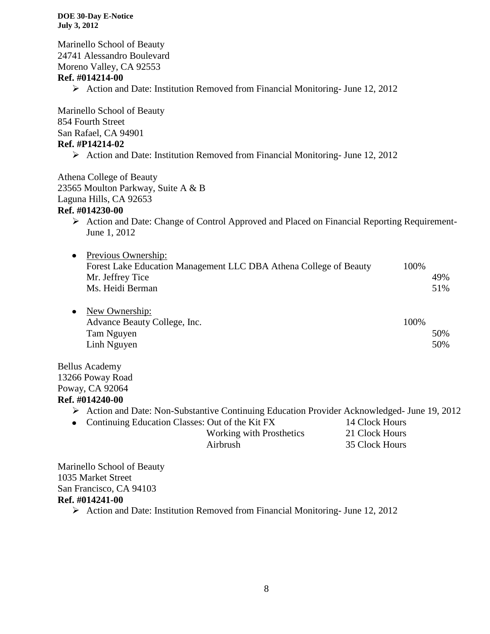Marinello School of Beauty 24741 Alessandro Boulevard Moreno Valley, CA 92553 **Ref. #014214-00**  $\triangleright$  Action and Date: Institution Removed from Financial Monitoring- June 12, 2012 Marinello School of Beauty 854 Fourth Street San Rafael, CA 94901 **Ref. #P14214-02**  $\triangleright$  Action and Date: Institution Removed from Financial Monitoring- June 12, 2012 Athena College of Beauty 23565 Moulton Parkway, Suite A & B Laguna Hills, CA 92653 **Ref. #014230-00** Action and Date: Change of Control Approved and Placed on Financial Reporting Requirement-June 1, 2012 • Previous Ownership: Forest Lake Education Management LLC DBA Athena College of Beauty 100% Mr. Jeffrey Tice 49% Ms. Heidi Berman 51% • New Ownership: Advance Beauty College, Inc. 100% Tam Nguyen 50% Linh Nguyen 50% Bellus Academy 13266 Poway Road Poway, CA 92064

#### **Ref. #014240-00**

- Action and Date: Non-Substantive Continuing Education Provider Acknowledged- June 19, 2012
- Continuing Education Classes: Out of the Kit FX 14 Clock Hours Working with Prosthetics 21 Clock Hours Airbrush 35 Clock Hours

Marinello School of Beauty 1035 Market Street San Francisco, CA 94103 **Ref. #014241-00**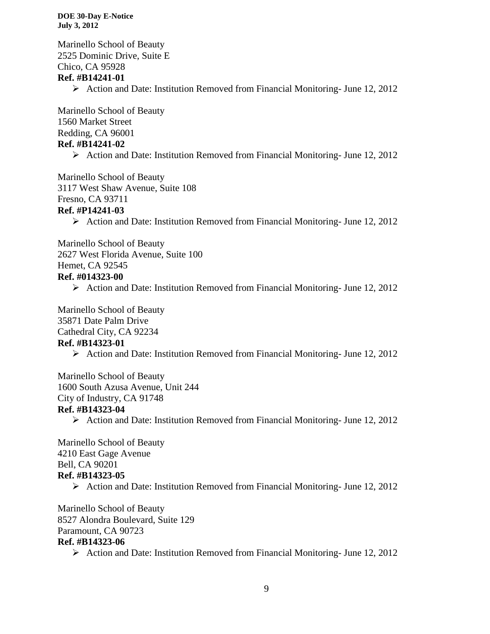Marinello School of Beauty 2525 Dominic Drive, Suite E Chico, CA 95928 **Ref. #B14241-01**

Action and Date: Institution Removed from Financial Monitoring- June 12, 2012

Marinello School of Beauty 1560 Market Street Redding, CA 96001 **Ref. #B14241-02**

 $\triangleright$  Action and Date: Institution Removed from Financial Monitoring- June 12, 2012

Marinello School of Beauty 3117 West Shaw Avenue, Suite 108 Fresno, CA 93711

#### **Ref. #P14241-03**

 $\triangleright$  Action and Date: Institution Removed from Financial Monitoring- June 12, 2012

Marinello School of Beauty 2627 West Florida Avenue, Suite 100 Hemet, CA 92545 **Ref. #014323-00**

 $\triangleright$  Action and Date: Institution Removed from Financial Monitoring- June 12, 2012

Marinello School of Beauty 35871 Date Palm Drive Cathedral City, CA 92234 **Ref. #B14323-01**

Action and Date: Institution Removed from Financial Monitoring- June 12, 2012

Marinello School of Beauty 1600 South Azusa Avenue, Unit 244 City of Industry, CA 91748 **Ref. #B14323-04**

 $\triangleright$  Action and Date: Institution Removed from Financial Monitoring- June 12, 2012

Marinello School of Beauty 4210 East Gage Avenue Bell, CA 90201 **Ref. #B14323-05**

Action and Date: Institution Removed from Financial Monitoring- June 12, 2012

Marinello School of Beauty 8527 Alondra Boulevard, Suite 129 Paramount, CA 90723 **Ref. #B14323-06**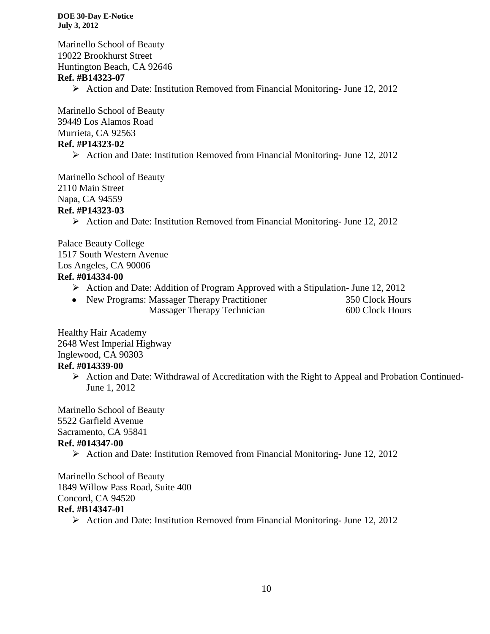Marinello School of Beauty 19022 Brookhurst Street Huntington Beach, CA 92646 **Ref. #B14323-07**  $\triangleright$  Action and Date: Institution Removed from Financial Monitoring- June 12, 2012

Marinello School of Beauty 39449 Los Alamos Road Murrieta, CA 92563 **Ref. #P14323-02**

 $\triangleright$  Action and Date: Institution Removed from Financial Monitoring- June 12, 2012

Marinello School of Beauty 2110 Main Street Napa, CA 94559 **Ref. #P14323-03**

Action and Date: Institution Removed from Financial Monitoring- June 12, 2012

Palace Beauty College 1517 South Western Avenue Los Angeles, CA 90006 **Ref. #014334-00**

- $\triangleright$  Action and Date: Addition of Program Approved with a Stipulation- June 12, 2012
- New Programs: Massager Therapy Practitioner 350 Clock Hours Massager Therapy Technician 600 Clock Hours

Healthy Hair Academy 2648 West Imperial Highway Inglewood, CA 90303 **Ref. #014339-00**

> $\triangleright$  Action and Date: Withdrawal of Accreditation with the Right to Appeal and Probation Continued-June 1, 2012

Marinello School of Beauty 5522 Garfield Avenue Sacramento, CA 95841 **Ref. #014347-00**

Action and Date: Institution Removed from Financial Monitoring- June 12, 2012

Marinello School of Beauty 1849 Willow Pass Road, Suite 400 Concord, CA 94520 **Ref. #B14347-01**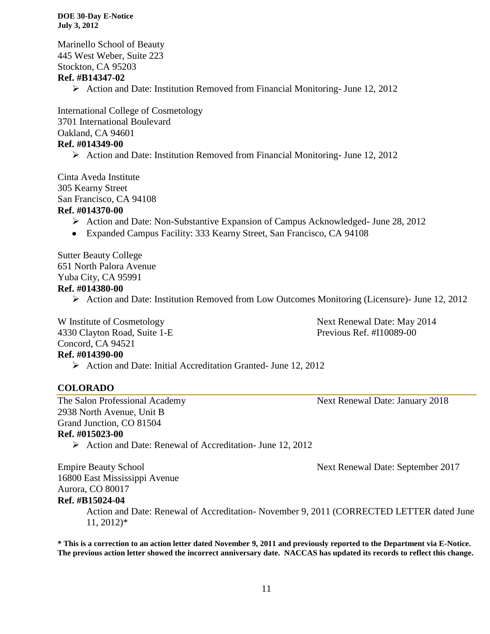Marinello School of Beauty 445 West Weber, Suite 223 Stockton, CA 95203 **Ref. #B14347-02**

 $\triangleright$  Action and Date: Institution Removed from Financial Monitoring- June 12, 2012

International College of Cosmetology 3701 International Boulevard Oakland, CA 94601 **Ref. #014349-00**

 $\triangleright$  Action and Date: Institution Removed from Financial Monitoring- June 12, 2012

Cinta Aveda Institute 305 Kearny Street San Francisco, CA 94108

# **Ref. #014370-00**

- $\triangleright$  Action and Date: Non-Substantive Expansion of Campus Acknowledged- June 28, 2012
- Expanded Campus Facility: 333 Kearny Street, San Francisco, CA 94108

Sutter Beauty College 651 North Palora Avenue Yuba City, CA 95991

#### **Ref. #014380-00**

Action and Date: Institution Removed from Low Outcomes Monitoring (Licensure)- June 12, 2012

4330 Clayton Road, Suite 1-E Previous Ref. #I10089-00 Concord, CA 94521

W Institute of Cosmetology Next Renewal Date: May 2014

# **Ref. #014390-00**

 $\triangleright$  Action and Date: Initial Accreditation Granted- June 12, 2012

#### **COLORADO**

2938 North Avenue, Unit B Grand Junction, CO 81504 **Ref. #015023-00**

The Salon Professional Academy Next Renewal Date: January 2018

Action and Date: Renewal of Accreditation- June 12, 2012

Empire Beauty School Next Renewal Date: September 2017 16800 East Mississippi Avenue Aurora, CO 80017

#### **Ref. #B15024-04**

Action and Date: Renewal of Accreditation- November 9, 2011 (CORRECTED LETTER dated June 11, 2012)\*

**\* This is a correction to an action letter dated November 9, 2011 and previously reported to the Department via E-Notice. The previous action letter showed the incorrect anniversary date. NACCAS has updated its records to reflect this change.**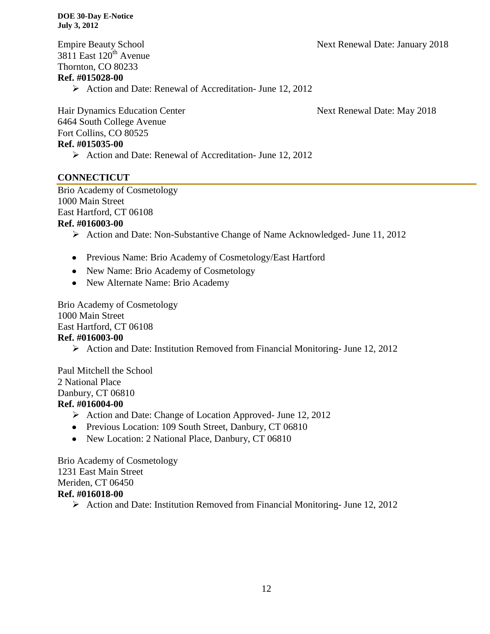Empire Beauty School Next Renewal Date: January 2018  $3811$  East  $120^{th}$  Avenue Thornton, CO 80233

# **Ref. #015028-00**

Action and Date: Renewal of Accreditation- June 12, 2012

Hair Dynamics Education Center Next Renewal Date: May 2018 6464 South College Avenue Fort Collins, CO 80525 **Ref. #015035-00**

Action and Date: Renewal of Accreditation- June 12, 2012

# **CONNECTICUT**

Brio Academy of Cosmetology 1000 Main Street East Hartford, CT 06108

#### **Ref. #016003-00**

- Action and Date: Non-Substantive Change of Name Acknowledged- June 11, 2012
- Previous Name: Brio Academy of Cosmetology/East Hartford
- New Name: Brio Academy of Cosmetology
- New Alternate Name: Brio Academy

Brio Academy of Cosmetology 1000 Main Street East Hartford, CT 06108 **Ref. #016003-00**

 $\triangleright$  Action and Date: Institution Removed from Financial Monitoring- June 12, 2012

Paul Mitchell the School 2 National Place Danbury, CT 06810

# **Ref. #016004-00**

- $\triangleright$  Action and Date: Change of Location Approved- June 12, 2012
- Previous Location: 109 South Street, Danbury, CT 06810
- New Location: 2 National Place, Danbury, CT 06810

Brio Academy of Cosmetology 1231 East Main Street Meriden, CT 06450 **Ref. #016018-00**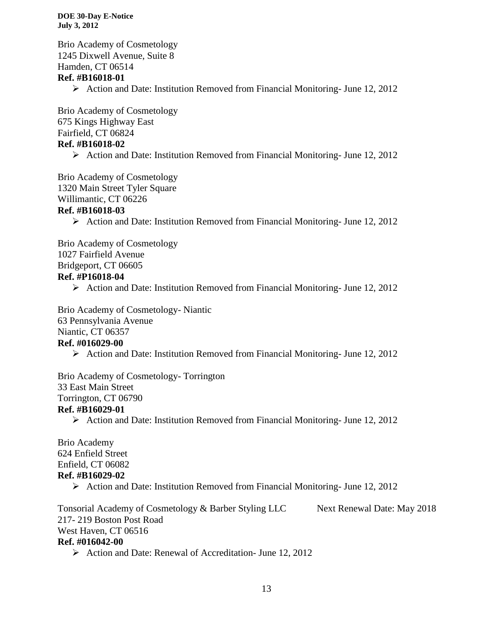Brio Academy of Cosmetology 1245 Dixwell Avenue, Suite 8 Hamden, CT 06514 **Ref. #B16018-01**

Action and Date: Institution Removed from Financial Monitoring- June 12, 2012

Brio Academy of Cosmetology 675 Kings Highway East Fairfield, CT 06824 **Ref. #B16018-02**

 $\triangleright$  Action and Date: Institution Removed from Financial Monitoring- June 12, 2012

Brio Academy of Cosmetology 1320 Main Street Tyler Square Willimantic, CT 06226

#### **Ref. #B16018-03**

 $\triangleright$  Action and Date: Institution Removed from Financial Monitoring- June 12, 2012

Brio Academy of Cosmetology 1027 Fairfield Avenue

Bridgeport, CT 06605

#### **Ref. #P16018-04**

 $\triangleright$  Action and Date: Institution Removed from Financial Monitoring- June 12, 2012

Brio Academy of Cosmetology- Niantic 63 Pennsylvania Avenue Niantic, CT 06357 **Ref. #016029-00**

Action and Date: Institution Removed from Financial Monitoring- June 12, 2012

Brio Academy of Cosmetology- Torrington 33 East Main Street Torrington, CT 06790

# **Ref. #B16029-01**

Action and Date: Institution Removed from Financial Monitoring- June 12, 2012

Brio Academy 624 Enfield Street Enfield, CT 06082 **Ref. #B16029-02**

Action and Date: Institution Removed from Financial Monitoring- June 12, 2012

Tonsorial Academy of Cosmetology & Barber Styling LLC Next Renewal Date: May 2018 217- 219 Boston Post Road West Haven, CT 06516 **Ref. #016042-00**

Action and Date: Renewal of Accreditation- June 12, 2012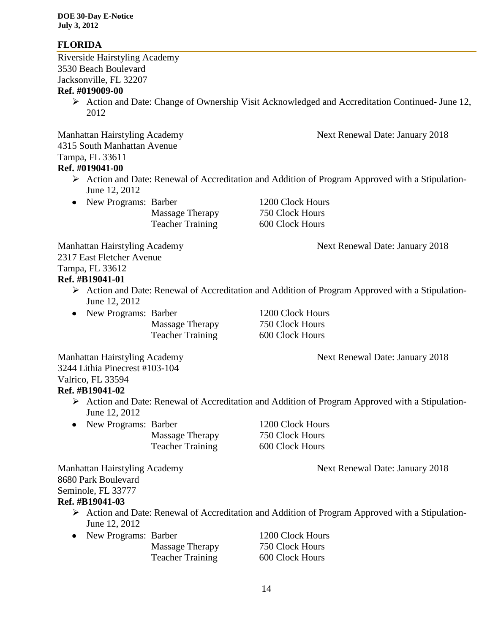# **FLORIDA**

Riverside Hairstyling Academy 3530 Beach Boulevard Jacksonville, FL 32207

# **Ref. #019009-00**

 Action and Date: Change of Ownership Visit Acknowledged and Accreditation Continued- June 12, 2012

Manhattan Hairstyling Academy Next Renewal Date: January 2018 4315 South Manhattan Avenue Tampa, FL 33611 **Ref. #019041-00**

- Action and Date: Renewal of Accreditation and Addition of Program Approved with a Stipulation-June 12, 2012
- New Programs: Barber 1200 Clock Hours

Massage Therapy 750 Clock Hours Teacher Training 600 Clock Hours

Manhattan Hairstyling Academy Next Renewal Date: January 2018

2317 East Fletcher Avenue

Tampa, FL 33612

# **Ref. #B19041-01**

- Action and Date: Renewal of Accreditation and Addition of Program Approved with a Stipulation-June 12, 2012
- New Programs: Barber 1200 Clock Hours

Massage Therapy 750 Clock Hours Teacher Training 600 Clock Hours

Manhattan Hairstyling Academy Next Renewal Date: January 2018

3244 Lithia Pinecrest #103-104 Valrico, FL 33594

# **Ref. #B19041-02**

- Action and Date: Renewal of Accreditation and Addition of Program Approved with a Stipulation-June 12, 2012
- New Programs: Barber 1200 Clock Hours
	- Massage Therapy 750 Clock Hours Teacher Training 600 Clock Hours

Manhattan Hairstyling Academy Next Renewal Date: January 2018

8680 Park Boulevard Seminole, FL 33777

# **Ref. #B19041-03**

- Action and Date: Renewal of Accreditation and Addition of Program Approved with a Stipulation-June 12, 2012
- New Programs: Barber 1200 Clock Hours

| Massage Therapy         |
|-------------------------|
| <b>Teacher Training</b> |

750 Clock Hours 600 Clock Hours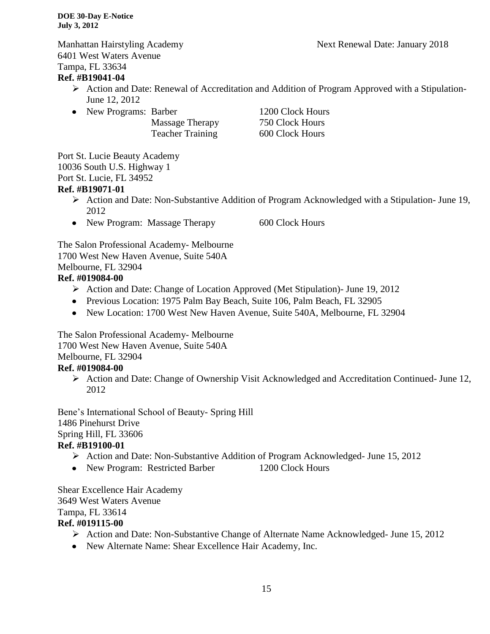6401 West Waters Avenue Tampa, FL 33634

# **Ref. #B19041-04**

- Action and Date: Renewal of Accreditation and Addition of Program Approved with a Stipulation-June 12, 2012
- New Programs: Barber 1200 Clock Hours
	- Massage Therapy 750 Clock Hours Teacher Training 600 Clock Hours

Port St. Lucie Beauty Academy 10036 South U.S. Highway 1 Port St. Lucie, FL 34952 **Ref. #B19071-01**

- Action and Date: Non-Substantive Addition of Program Acknowledged with a Stipulation- June 19, 2012
- New Program: Massage Therapy 600 Clock Hours

The Salon Professional Academy- Melbourne 1700 West New Haven Avenue, Suite 540A Melbourne, FL 32904

# **Ref. #019084-00**

- Action and Date: Change of Location Approved (Met Stipulation)- June 19, 2012
- Previous Location: 1975 Palm Bay Beach, Suite 106, Palm Beach, FL 32905
- New Location: 1700 West New Haven Avenue, Suite 540A, Melbourne, FL 32904

The Salon Professional Academy- Melbourne 1700 West New Haven Avenue, Suite 540A Melbourne, FL 32904

# **Ref. #019084-00**

 Action and Date: Change of Ownership Visit Acknowledged and Accreditation Continued- June 12, 2012

Bene's International School of Beauty- Spring Hill 1486 Pinehurst Drive Spring Hill, FL 33606 **Ref. #B19100-01**

- Action and Date: Non-Substantive Addition of Program Acknowledged- June 15, 2012
- New Program: Restricted Barber 1200 Clock Hours

Shear Excellence Hair Academy 3649 West Waters Avenue Tampa, FL 33614 **Ref. #019115-00**

- Action and Date: Non-Substantive Change of Alternate Name Acknowledged- June 15, 2012
- New Alternate Name: Shear Excellence Hair Academy, Inc.

Manhattan Hairstyling Academy Next Renewal Date: January 2018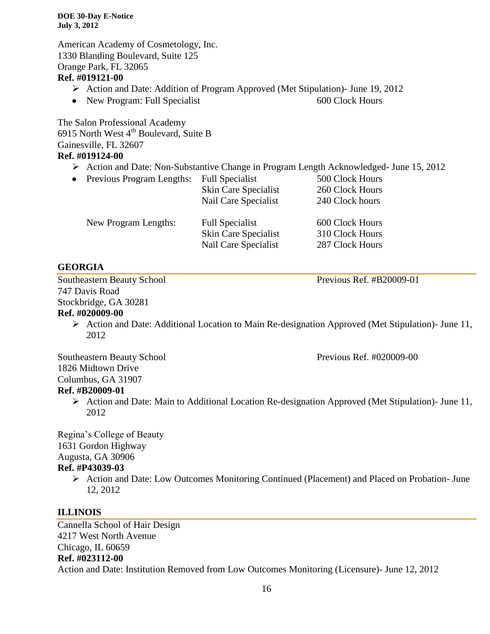American Academy of Cosmetology, Inc. 1330 Blanding Boulevard, Suite 125 Orange Park, FL 32065 **Ref. #019121-00**

- Action and Date: Addition of Program Approved (Met Stipulation)- June 19, 2012
- New Program: Full Specialist 600 Clock Hours

The Salon Professional Academy 6915 North West  $4<sup>th</sup>$  Boulevard, Suite B Gainesville, FL 32607 **Ref. #019124-00**

Action and Date: Non-Substantive Change in Program Length Acknowledged- June 15, 2012

| Previous Program Lengths: | <b>Full Specialist</b> | 500 Clock Hours |
|---------------------------|------------------------|-----------------|
|                           | Skin Care Specialist   | 260 Clock Hours |
|                           | Nail Care Specialist   | 240 Clock hours |
| New Program Lengths:      | <b>Full Specialist</b> | 600 Clock Hours |
|                           | Skin Care Specialist   | 310 Clock Hours |
|                           | Nail Care Specialist   | 287 Clock Hours |

# **GEORGIA**

 $\bullet$ 

Southeastern Beauty School Previous Ref. #B20009-01 747 Davis Road Stockbridge, GA 30281

# **Ref. #020009-00**

 $\triangleright$  Action and Date: Additional Location to Main Re-designation Approved (Met Stipulation)- June 11, 2012

Southeastern Beauty School Previous Ref. #020009-00 1826 Midtown Drive Columbus, GA 31907 **Ref. #B20009-01**

 $\triangleright$  Action and Date: Main to Additional Location Re-designation Approved (Met Stipulation)- June 11, 2012

Regina's College of Beauty 1631 Gordon Highway Augusta, GA 30906

# **Ref. #P43039-03**

 Action and Date: Low Outcomes Monitoring Continued (Placement) and Placed on Probation- June 12, 2012

# **ILLINOIS**

Cannella School of Hair Design 4217 West North Avenue Chicago, IL 60659 **Ref. #023112-00** Action and Date: Institution Removed from Low Outcomes Monitoring (Licensure)- June 12, 2012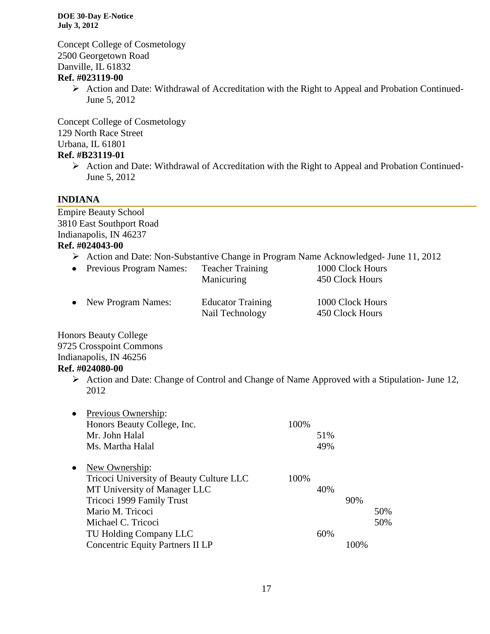Concept College of Cosmetology 2500 Georgetown Road Danville, IL 61832

# **Ref. #023119-00**

 Action and Date: Withdrawal of Accreditation with the Right to Appeal and Probation Continued-June 5, 2012

Concept College of Cosmetology 129 North Race Street Urbana, IL 61801

#### **Ref. #B23119-01**

 $\triangleright$  Action and Date: Withdrawal of Accreditation with the Right to Appeal and Probation Continued-June 5, 2012

# **INDIANA**

Empire Beauty School 3810 East Southport Road Indianapolis, IN 46237 **Ref. #024043-00**

Action and Date: Non-Substantive Change in Program Name Acknowledged- June 11, 2012

| • Previous Program Names: | <b>Teacher Training</b><br>Manicuring       | 1000 Clock Hours<br>450 Clock Hours |
|---------------------------|---------------------------------------------|-------------------------------------|
| • New Program Names:      | <b>Educator Training</b><br>Nail Technology | 1000 Clock Hours<br>450 Clock Hours |

Honors Beauty College 9725 Crosspoint Commons Indianapolis, IN 46256 **Ref. #024080-00**

> Action and Date: Change of Control and Change of Name Approved with a Stipulation- June 12, 2012

| $\bullet$ | Previous Ownership:                      |      |     |     |     |
|-----------|------------------------------------------|------|-----|-----|-----|
|           | Honors Beauty College, Inc.              | 100% |     |     |     |
|           | Mr. John Halal                           |      | 51% |     |     |
|           | Ms. Martha Halal                         |      | 49% |     |     |
| $\bullet$ | New Ownership:                           |      |     |     |     |
|           | Tricoci University of Beauty Culture LLC | 100% |     |     |     |
|           | MT University of Manager LLC             |      | 40% |     |     |
|           | Tricoci 1999 Family Trust                |      |     | 90% |     |
|           | Mario M. Tricoci                         |      |     |     | 50% |
|           | Michael C. Tricoci                       |      |     |     | 50% |
|           | TU Holding Company LLC                   |      | 60% |     |     |
|           | <b>Concentric Equity Partners II LP</b>  |      |     |     |     |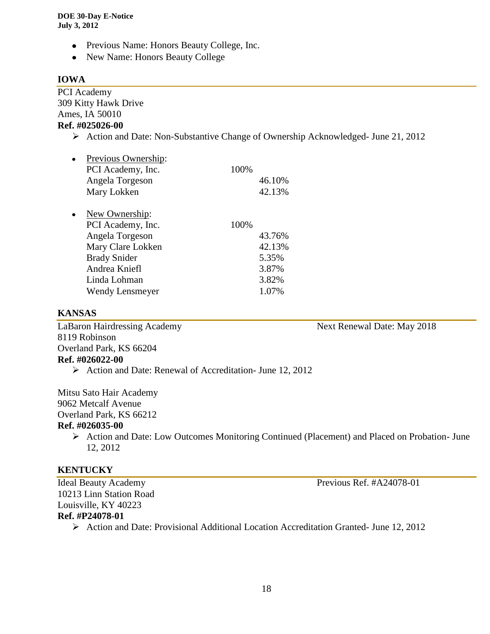- Previous Name: Honors Beauty College, Inc.
- New Name: Honors Beauty College

# **IOWA**

PCI Academy 309 Kitty Hawk Drive Ames, IA 50010 **Ref. #025026-00**

Action and Date: Non-Substantive Change of Ownership Acknowledged- June 21, 2012

| Previous Ownership:    |      |        |
|------------------------|------|--------|
| PCI Academy, Inc.      | 100% |        |
| Angela Torgeson        |      | 46.10% |
| Mary Lokken            |      | 42.13% |
| New Ownership:         |      |        |
| PCI Academy, Inc.      | 100% |        |
| Angela Torgeson        |      | 43.76% |
| Mary Clare Lokken      |      | 42.13% |
| <b>Brady Snider</b>    |      | 5.35%  |
| Andrea Kniefl          |      | 3.87%  |
| Linda Lohman           |      | 3.82%  |
| <b>Wendy Lensmeyer</b> |      | 1.07%  |
|                        |      |        |

#### **KANSAS**

LaBaron Hairdressing Academy Next Renewal Date: May 2018 8119 Robinson Overland Park, KS 66204 **Ref. #026022-00**

Action and Date: Renewal of Accreditation- June 12, 2012

Mitsu Sato Hair Academy

9062 Metcalf Avenue

Overland Park, KS 66212

#### **Ref. #026035-00**

 Action and Date: Low Outcomes Monitoring Continued (Placement) and Placed on Probation- June 12, 2012

# **KENTUCKY**

10213 Linn Station Road Louisville, KY 40223

Ideal Beauty Academy Previous Ref. #A24078-01

# **Ref. #P24078-01**

Action and Date: Provisional Additional Location Accreditation Granted- June 12, 2012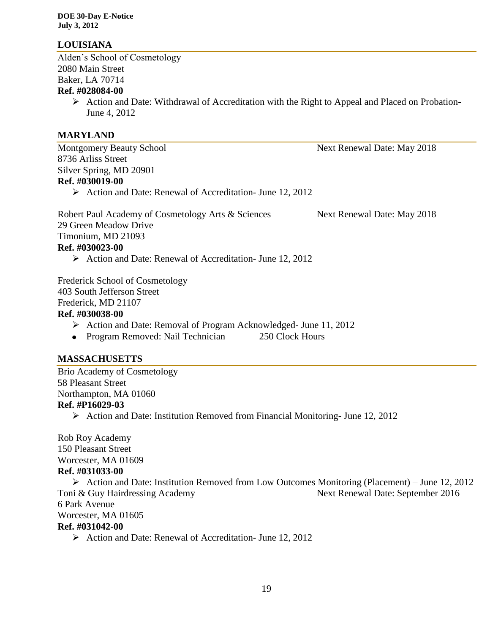# **LOUISIANA**

Alden's School of Cosmetology 2080 Main Street Baker, LA 70714 **Ref. #028084-00**

> $\triangleright$  Action and Date: Withdrawal of Accreditation with the Right to Appeal and Placed on Probation-June 4, 2012

# **MARYLAND**

Montgomery Beauty School Next Renewal Date: May 2018 8736 Arliss Street Silver Spring, MD 20901 **Ref. #030019-00**

Action and Date: Renewal of Accreditation- June 12, 2012

Robert Paul Academy of Cosmetology Arts & Sciences Next Renewal Date: May 2018 29 Green Meadow Drive Timonium, MD 21093 **Ref. #030023-00**  $\triangleright$  Action and Date: Renewal of Accreditation- June 12, 2012

Frederick School of Cosmetology 403 South Jefferson Street

Frederick, MD 21107

# **Ref. #030038-00**

- Action and Date: Removal of Program Acknowledged- June 11, 2012
- Program Removed: Nail Technician 250 Clock Hours

# **MASSACHUSETTS**

Brio Academy of Cosmetology 58 Pleasant Street Northampton, MA 01060 **Ref. #P16029-03**

Action and Date: Institution Removed from Financial Monitoring- June 12, 2012

Rob Roy Academy 150 Pleasant Street Worcester, MA 01609 **Ref. #031033-00**

 $\triangleright$  Action and Date: Institution Removed from Low Outcomes Monitoring (Placement) – June 12, 2012 Toni & Guy Hairdressing Academy Next Renewal Date: September 2016 6 Park Avenue Worcester, MA 01605 **Ref. #031042-00** Action and Date: Renewal of Accreditation- June 12, 2012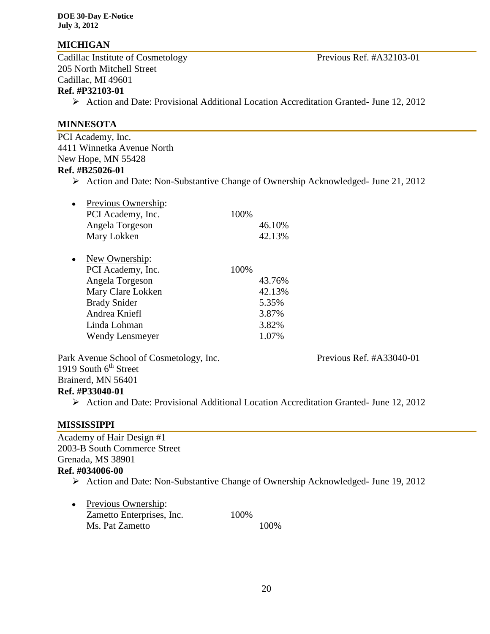# **MICHIGAN**

Cadillac Institute of Cosmetology Previous Ref. #A32103-01 205 North Mitchell Street Cadillac, MI 49601 **Ref. #P32103-01**

Action and Date: Provisional Additional Location Accreditation Granted- June 12, 2012

#### **MINNESOTA**

PCI Academy, Inc. 4411 Winnetka Avenue North New Hope, MN 55428

# **Ref. #B25026-01**

Action and Date: Non-Substantive Change of Ownership Acknowledged- June 21, 2012

| Previous Ownership:<br>PCI Academy, Inc.<br>Angela Torgeson<br>Mary Lokken                                                                                    | 100% | 46.10%<br>42.13%                                     |
|---------------------------------------------------------------------------------------------------------------------------------------------------------------|------|------------------------------------------------------|
| New Ownership:<br>PCI Academy, Inc.<br>Angela Torgeson<br>Mary Clare Lokken<br><b>Brady Snider</b><br>Andrea Kniefl<br>Linda Lohman<br><b>Wendy Lensmeyer</b> | 100% | 43.76%<br>42.13%<br>5.35%<br>3.87%<br>3.82%<br>1.07% |

Park Avenue School of Cosmetology, Inc. Previous Ref. #A33040-01 1919 South  $6<sup>th</sup>$  Street Brainerd, MN 56401

#### **Ref. #P33040-01**

Action and Date: Provisional Additional Location Accreditation Granted- June 12, 2012

# **MISSISSIPPI**

Academy of Hair Design #1 2003-B South Commerce Street Grenada, MS 38901 **Ref. #034006-00** 

- Action and Date: Non-Substantive Change of Ownership Acknowledged- June 19, 2012
- Previous Ownership: Zametto Enterprises, Inc. 100% Ms. Pat Zametto 100%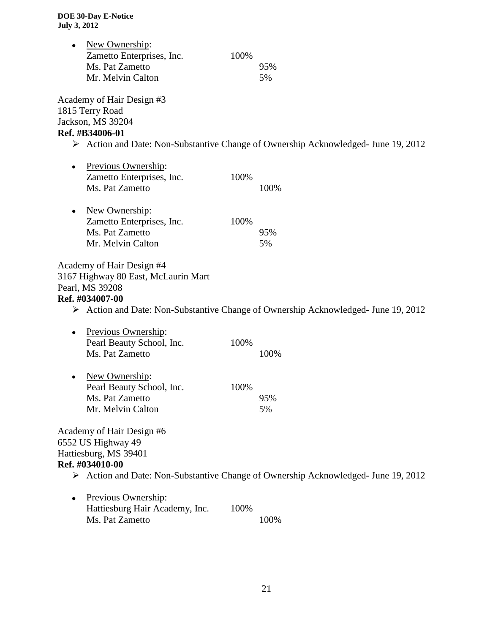|           | New Ownership:<br>Zametto Enterprises, Inc.<br>Ms. Pat Zametto<br>Mr. Melvin Calton                    | 100% | 95%<br>5%                                                                                         |
|-----------|--------------------------------------------------------------------------------------------------------|------|---------------------------------------------------------------------------------------------------|
|           | Academy of Hair Design #3<br>1815 Terry Road<br>Jackson, MS 39204<br>Ref. #B34006-01                   |      | $\triangleright$ Action and Date: Non-Substantive Change of Ownership Acknowledged- June 19, 2012 |
| $\bullet$ | Previous Ownership:<br>Zametto Enterprises, Inc.<br>Ms. Pat Zametto                                    | 100% | 100%                                                                                              |
| ٠         | New Ownership:<br>Zametto Enterprises, Inc.<br>Ms. Pat Zametto<br>Mr. Melvin Calton                    | 100% | 95%<br>5%                                                                                         |
|           | Academy of Hair Design #4<br>3167 Highway 80 East, McLaurin Mart<br>Pearl, MS 39208<br>Ref. #034007-00 |      |                                                                                                   |
|           |                                                                                                        |      | $\triangleright$ Action and Date: Non-Substantive Change of Ownership Acknowledged- June 19, 2012 |
|           | Previous Ownership:<br>Pearl Beauty School, Inc.<br>Ms. Pat Zametto                                    | 100% | 100%                                                                                              |
|           | New Ownership:<br>Pearl Beauty School, Inc.<br>Ms. Pat Zametto<br>Mr. Melvin Calton                    | 100% | 95%<br>5%                                                                                         |
|           | Academy of Hair Design #6<br>6552 US Highway 49<br>Hattiesburg, MS 39401<br>Ref. #034010-00            |      | $\triangleright$ Action and Date: Non-Substantive Change of Ownership Acknowledged- June 19, 2012 |
|           | Previous Ownership:<br>Hattiesburg Hair Academy, Inc.<br>Ms. Pat Zametto                               | 100% | 100%                                                                                              |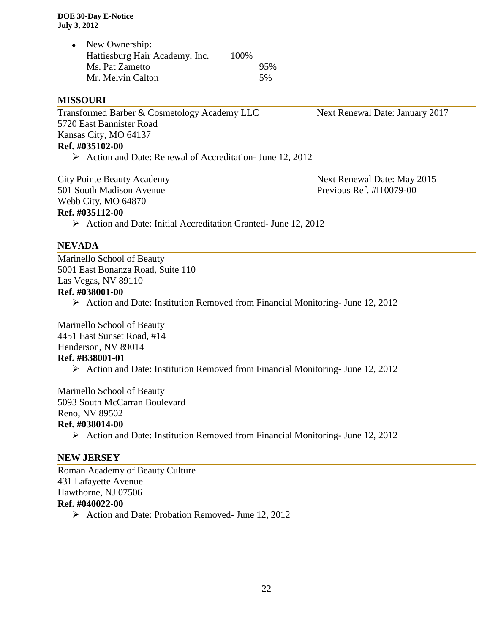| New Ownership:                 |       |     |
|--------------------------------|-------|-----|
| Hattiesburg Hair Academy, Inc. | 100\% |     |
| Ms. Pat Zametto                |       | 95% |
| Mr. Melvin Calton              |       | 5%  |

#### **MISSOURI**

Transformed Barber & Cosmetology Academy LLC Next Renewal Date: January 2017 5720 East Bannister Road Kansas City, MO 64137 **Ref. #035102-00**

Action and Date: Renewal of Accreditation- June 12, 2012

City Pointe Beauty Academy **Next Renewal Date: May 2015** 501 South Madison Avenue Previous Ref. #I10079-00 Webb City, MO 64870

**Ref. #035112-00**

 $\triangleright$  Action and Date: Initial Accreditation Granted- June 12, 2012

#### **NEVADA**

Marinello School of Beauty 5001 East Bonanza Road, Suite 110 Las Vegas, NV 89110 **Ref. #038001-00**

 $\triangleright$  Action and Date: Institution Removed from Financial Monitoring- June 12, 2012

Marinello School of Beauty 4451 East Sunset Road, #14 Henderson, NV 89014

#### **Ref. #B38001-01**

 $\triangleright$  Action and Date: Institution Removed from Financial Monitoring- June 12, 2012

Marinello School of Beauty 5093 South McCarran Boulevard Reno, NV 89502 **Ref. #038014-00**

 $\triangleright$  Action and Date: Institution Removed from Financial Monitoring- June 12, 2012

#### **NEW JERSEY**

Roman Academy of Beauty Culture 431 Lafayette Avenue Hawthorne, NJ 07506 **Ref. #040022-00**

 $\triangleright$  Action and Date: Probation Removed- June 12, 2012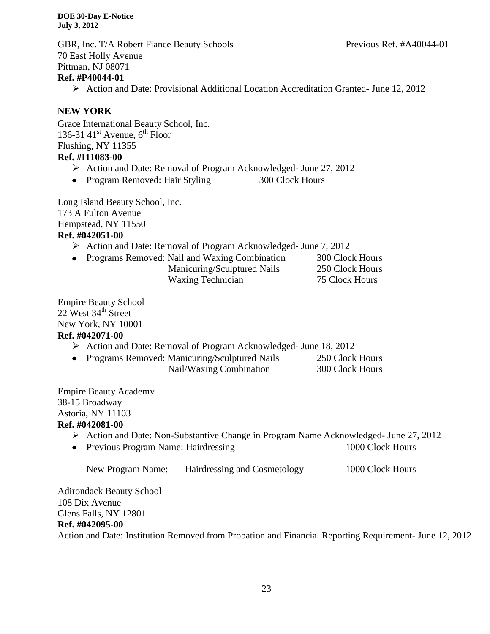GBR, Inc. T/A Robert Fiance Beauty Schools Previous Ref. #A40044-01 70 East Holly Avenue Pittman, NJ 08071 **Ref. #P40044-01**

Action and Date: Provisional Additional Location Accreditation Granted- June 12, 2012

# **NEW YORK**

Grace International Beauty School, Inc. 136-31 41 $^{\text{st}}$  Avenue, 6<sup>th</sup> Floor Flushing, NY 11355 **Ref. #I11083-00**

- Action and Date: Removal of Program Acknowledged- June 27, 2012
- Program Removed: Hair Styling 300 Clock Hours

Long Island Beauty School, Inc. 173 A Fulton Avenue Hempstead, NY 11550 **Ref. #042051-00**

- Action and Date: Removal of Program Acknowledged- June 7, 2012
- Programs Removed: Nail and Waxing Combination 300 Clock Hours Manicuring/Sculptured Nails 250 Clock Hours Waxing Technician 75 Clock Hours

Empire Beauty School  $22$  West  $34<sup>th</sup>$  Street New York, NY 10001 **Ref. #042071-00**

- Action and Date: Removal of Program Acknowledged- June 18, 2012
- Programs Removed: Manicuring/Sculptured Nails 250 Clock Hours Nail/Waxing Combination 300 Clock Hours

Empire Beauty Academy 38-15 Broadway Astoria, NY 11103 **Ref. #042081-00**

- Action and Date: Non-Substantive Change in Program Name Acknowledged- June 27, 2012
- Previous Program Name: Hairdressing 1000 Clock Hours

| New Program Name: | Hairdressing and Cosmetology | 1000 Clock Hours |
|-------------------|------------------------------|------------------|
|-------------------|------------------------------|------------------|

Adirondack Beauty School 108 Dix Avenue Glens Falls, NY 12801

#### **Ref. #042095-00**

Action and Date: Institution Removed from Probation and Financial Reporting Requirement- June 12, 2012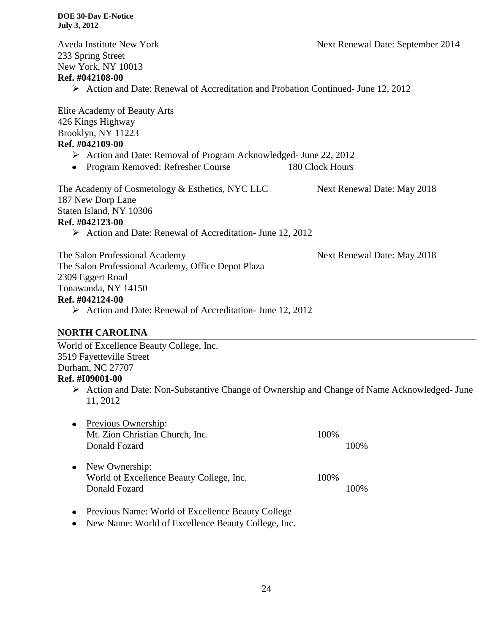Aveda Institute New York Next Renewal Date: September 2014 233 Spring Street New York, NY 10013 **Ref. #042108-00** Action and Date: Renewal of Accreditation and Probation Continued- June 12, 2012 Elite Academy of Beauty Arts 426 Kings Highway Brooklyn, NY 11223 **Ref. #042109-00** Action and Date: Removal of Program Acknowledged- June 22, 2012 • Program Removed: Refresher Course 180 Clock Hours The Academy of Cosmetology & Esthetics, NYC LLC Next Renewal Date: May 2018 187 New Dorp Lane Staten Island, NY 10306 **Ref. #042123-00** Action and Date: Renewal of Accreditation- June 12, 2012 The Salon Professional Academy Next Renewal Date: May 2018 The Salon Professional Academy, Office Depot Plaza 2309 Eggert Road Tonawanda, NY 14150 **Ref. #042124-00** Action and Date: Renewal of Accreditation- June 12, 2012

#### **NORTH CAROLINA**

World of Excellence Beauty College, Inc. 3519 Fayetteville Street Durham, NC 27707 **Ref. #I09001-00**

 Action and Date: Non-Substantive Change of Ownership and Change of Name Acknowledged- June 11, 2012

| $\bullet$ | <b>Previous Ownership:</b><br>Mt. Zion Christian Church, Inc.<br>Donald Fozard | 100% | 100% |
|-----------|--------------------------------------------------------------------------------|------|------|
| $\bullet$ | New Ownership:<br>World of Excellence Beauty College, Inc.<br>Donald Fozard    | 100% | 100% |

- Previous Name: World of Excellence Beauty College
- New Name: World of Excellence Beauty College, Inc.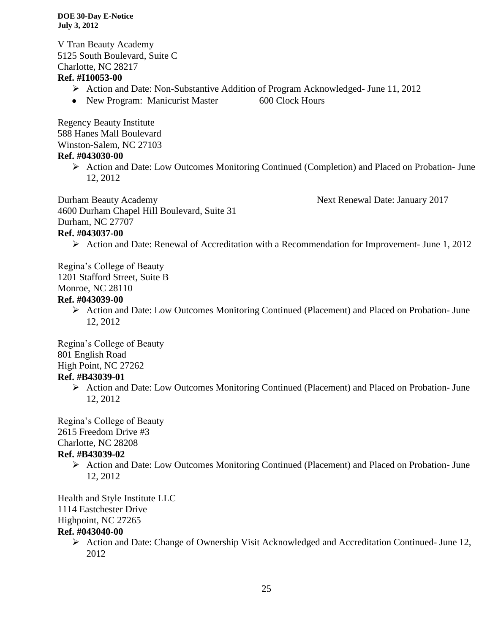V Tran Beauty Academy 5125 South Boulevard, Suite C Charlotte, NC 28217

# **Ref. #I10053-00**

- Action and Date: Non-Substantive Addition of Program Acknowledged- June 11, 2012
- New Program: Manicurist Master 600 Clock Hours

Regency Beauty Institute 588 Hanes Mall Boulevard Winston-Salem, NC 27103

# **Ref. #043030-00**

 Action and Date: Low Outcomes Monitoring Continued (Completion) and Placed on Probation- June 12, 2012

Durham Beauty Academy **Next Renewal Date: January 2017** 4600 Durham Chapel Hill Boulevard, Suite 31 Durham, NC 27707

# **Ref. #043037-00**

Action and Date: Renewal of Accreditation with a Recommendation for Improvement- June 1, 2012

Regina's College of Beauty 1201 Stafford Street, Suite B Monroe, NC 28110

# **Ref. #043039-00**

 $\triangleright$  Action and Date: Low Outcomes Monitoring Continued (Placement) and Placed on Probation- June 12, 2012

Regina's College of Beauty 801 English Road High Point, NC 27262 **Ref. #B43039-01**

> Action and Date: Low Outcomes Monitoring Continued (Placement) and Placed on Probation- June 12, 2012

Regina's College of Beauty 2615 Freedom Drive #3 Charlotte, NC 28208

# **Ref. #B43039-02**

 Action and Date: Low Outcomes Monitoring Continued (Placement) and Placed on Probation- June 12, 2012

Health and Style Institute LLC 1114 Eastchester Drive Highpoint, NC 27265

# **Ref. #043040-00**

 Action and Date: Change of Ownership Visit Acknowledged and Accreditation Continued- June 12, 2012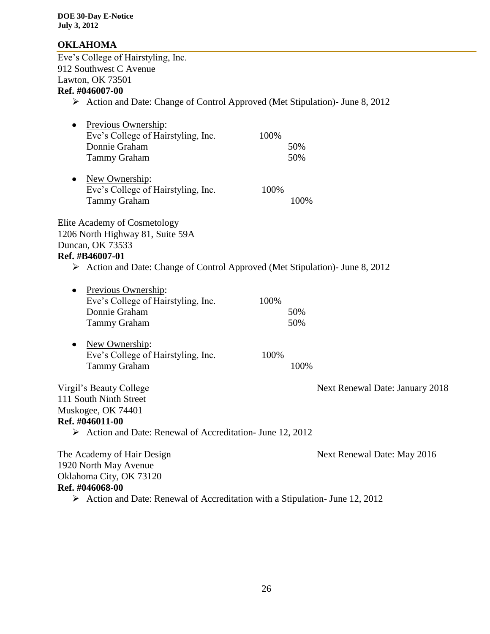# **OKLAHOMA**

Eve's College of Hairstyling, Inc. 912 Southwest C Avenue Lawton, OK 73501 **Ref. #046007-00**

Action and Date: Change of Control Approved (Met Stipulation)- June 8, 2012

|           | Previous Ownership:                                                                          |      |      |                                 |
|-----------|----------------------------------------------------------------------------------------------|------|------|---------------------------------|
|           | Eve's College of Hairstyling, Inc.                                                           | 100% |      |                                 |
|           | Donnie Graham                                                                                |      | 50%  |                                 |
|           | <b>Tammy Graham</b>                                                                          |      | 50%  |                                 |
| $\bullet$ | New Ownership:                                                                               |      |      |                                 |
|           | Eve's College of Hairstyling, Inc.                                                           | 100% |      |                                 |
|           | <b>Tammy Graham</b>                                                                          |      | 100% |                                 |
|           | <b>Elite Academy of Cosmetology</b>                                                          |      |      |                                 |
|           | 1206 North Highway 81, Suite 59A                                                             |      |      |                                 |
|           | Duncan, OK 73533                                                                             |      |      |                                 |
|           | Ref. #B46007-01                                                                              |      |      |                                 |
|           | $\triangleright$ Action and Date: Change of Control Approved (Met Stipulation)- June 8, 2012 |      |      |                                 |
| $\bullet$ | Previous Ownership:                                                                          |      |      |                                 |
|           | Eve's College of Hairstyling, Inc.                                                           | 100% |      |                                 |
|           | Donnie Graham                                                                                |      | 50%  |                                 |
|           | <b>Tammy Graham</b>                                                                          |      | 50%  |                                 |
|           |                                                                                              |      |      |                                 |
|           | New Ownership:                                                                               |      |      |                                 |
|           | Eve's College of Hairstyling, Inc.                                                           | 100% |      |                                 |
|           | <b>Tammy Graham</b>                                                                          |      | 100% |                                 |
|           | Virgil's Beauty College                                                                      |      |      | Next Renewal Date: January 2018 |
|           | 111 South Ninth Street                                                                       |      |      |                                 |
|           | Muskogee, OK 74401                                                                           |      |      |                                 |
|           | Ref. #046011-00                                                                              |      |      |                                 |
|           | $\triangleright$ Action and Date: Renewal of Accreditation- June 12, 2012                    |      |      |                                 |
|           | The Academy of Hair Design                                                                   |      |      | Next Renewal Date: May 2016     |
|           | 1920 North May Avenue                                                                        |      |      |                                 |
|           | Oklahoma City, OK 73120                                                                      |      |      |                                 |
|           | Ref. #046068-00                                                                              |      |      |                                 |
|           |                                                                                              |      |      |                                 |

 $\triangleright$  Action and Date: Renewal of Accreditation with a Stipulation- June 12, 2012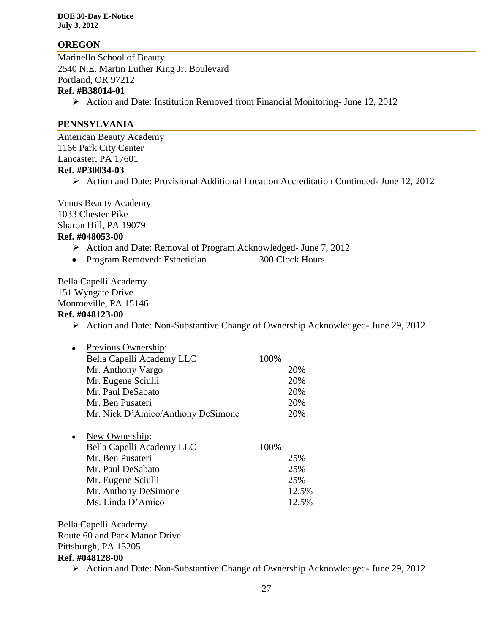#### **OREGON**

Marinello School of Beauty 2540 N.E. Martin Luther King Jr. Boulevard Portland, OR 97212 **Ref. #B38014-01**

Action and Date: Institution Removed from Financial Monitoring- June 12, 2012

#### **PENNSYLVANIA**

American Beauty Academy 1166 Park City Center Lancaster, PA 17601 **Ref. #P30034-03**

Action and Date: Provisional Additional Location Accreditation Continued- June 12, 2012

Venus Beauty Academy 1033 Chester Pike Sharon Hill, PA 19079 **Ref. #048053-00**

- Action and Date: Removal of Program Acknowledged- June 7, 2012
- Program Removed: Esthetician 300 Clock Hours

Bella Capelli Academy 151 Wyngate Drive Monroeville, PA 15146 **Ref. #048123-00**

Action and Date: Non-Substantive Change of Ownership Acknowledged- June 29, 2012

| Previous Ownership:                              |      |                              |
|--------------------------------------------------|------|------------------------------|
| Bella Capelli Academy LLC                        | 100% |                              |
| Mr. Anthony Vargo                                |      | 20%                          |
| Mr. Eugene Sciulli                               |      | 20%                          |
| Mr. Paul DeSabato                                |      | 20%                          |
| Mr. Ben Pusateri                                 |      | 20%                          |
| Mr. Nick D'Amico/Anthony DeSimone                |      | 20%                          |
| New Ownership:                                   |      |                              |
| Bella Capelli Academy LLC                        | 100% |                              |
| $M_{\mu}$ D <sub>ata</sub> D <sub>raabat</sub> : |      | $\Omega$ $\Gamma$ $\Omega$ / |

| Mr. Ben Pusateri     | 25%   |
|----------------------|-------|
| Mr. Paul DeSabato    | 25%   |
| Mr. Eugene Sciulli   | 25%   |
| Mr. Anthony DeSimone | 12.5% |
| Ms. Linda D'Amico    | 12.5% |

Bella Capelli Academy Route 60 and Park Manor Drive Pittsburgh, PA 15205 **Ref. #048128-00**

Action and Date: Non-Substantive Change of Ownership Acknowledged- June 29, 2012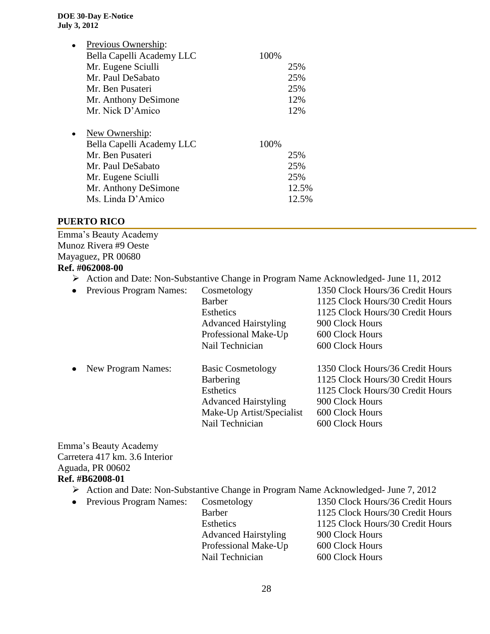| Previous Ownership:       |      |       |
|---------------------------|------|-------|
| Bella Capelli Academy LLC | 100% |       |
| Mr. Eugene Sciulli        |      | 25%   |
| Mr. Paul DeSabato         |      | 25%   |
| Mr. Ben Pusateri          |      | 25%   |
| Mr. Anthony DeSimone      |      | 12%   |
| Mr. Nick D'Amico          |      | 12%   |
|                           |      |       |
| New Ownership:            |      |       |
| Bella Capelli Academy LLC | 100% |       |
| Mr. Ben Pusateri          |      | 25%   |
| Mr. Paul DeSabato         |      | 25%   |
| Mr. Eugene Sciulli        |      | 25%   |
| Mr. Anthony DeSimone      |      | 12.5% |
| Ms. Linda D'Amico         |      | 12.5% |
|                           |      |       |

#### **PUERTO RICO**

Emma's Beauty Academy Munoz Rivera #9 Oeste Mayaguez, PR 00680 **Ref. #062008-00**

- Action and Date: Non-Substantive Change in Program Name Acknowledged- June 11, 2012
- Previous Program Names: Cosmetology 1350 Clock Hours/36 Credit Hours Barber 1125 Clock Hours/30 Credit Hours Esthetics 1125 Clock Hours/30 Credit Hours Advanced Hairstyling 900 Clock Hours Professional Make-Up 600 Clock Hours Nail Technician 600 Clock Hours • New Program Names: Basic Cosmetology 1350 Clock Hours/36 Credit Hours Barbering 1125 Clock Hours/30 Credit Hours Esthetics 1125 Clock Hours/30 Credit Hours Advanced Hairstyling 900 Clock Hours Make-Up Artist/Specialist 600 Clock Hours Nail Technician 600 Clock Hours

Emma's Beauty Academy Carretera 417 km. 3.6 Interior Aguada, PR 00602

#### **Ref. #B62008-01**

- Action and Date: Non-Substantive Change in Program Name Acknowledged- June 7, 2012
- 

Advanced Hairstyling 900 Clock Hours Professional Make-Up 600 Clock Hours Nail Technician 600 Clock Hours

• Previous Program Names: Cosmetology 1350 Clock Hours/36 Credit Hours Barber 1125 Clock Hours/30 Credit Hours Esthetics 1125 Clock Hours/30 Credit Hours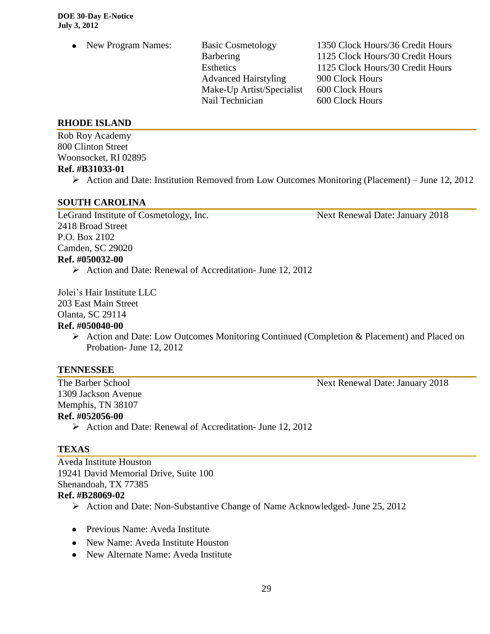Advanced Hairstyling 900 Clock Hours Make-Up Artist/Specialist 600 Clock Hours Nail Technician 600 Clock Hours

• New Program Names: Basic Cosmetology 1350 Clock Hours/36 Credit Hours Barbering 1125 Clock Hours/30 Credit Hours Esthetics 1125 Clock Hours/30 Credit Hours

#### **RHODE ISLAND**

Rob Roy Academy 800 Clinton Street Woonsocket, RI 02895 **Ref. #B31033-01**

 $\triangleright$  Action and Date: Institution Removed from Low Outcomes Monitoring (Placement) – June 12, 2012

#### **SOUTH CAROLINA**

LeGrand Institute of Cosmetology, Inc. Next Renewal Date: January 2018 2418 Broad Street P.O. Box 2102 Camden, SC 29020 **Ref. #050032-00** Action and Date: Renewal of Accreditation- June 12, 2012

Jolei's Hair Institute LLC

203 East Main Street

Olanta, SC 29114

# **Ref. #050040-00**

Action and Date: Low Outcomes Monitoring Continued (Completion & Placement) and Placed on Probation- June 12, 2012

#### **TENNESSEE**

1309 Jackson Avenue Memphis, TN 38107 **Ref. #052056-00**

Action and Date: Renewal of Accreditation- June 12, 2012

# **TEXAS**

Aveda Institute Houston 19241 David Memorial Drive, Suite 100 Shenandoah, TX 77385 **Ref. #B28069-02**

- Action and Date: Non-Substantive Change of Name Acknowledged- June 25, 2012
- Previous Name: Aveda Institute
- New Name: Aveda Institute Houston
- New Alternate Name: Aveda Institute

The Barber School Next Renewal Date: January 2018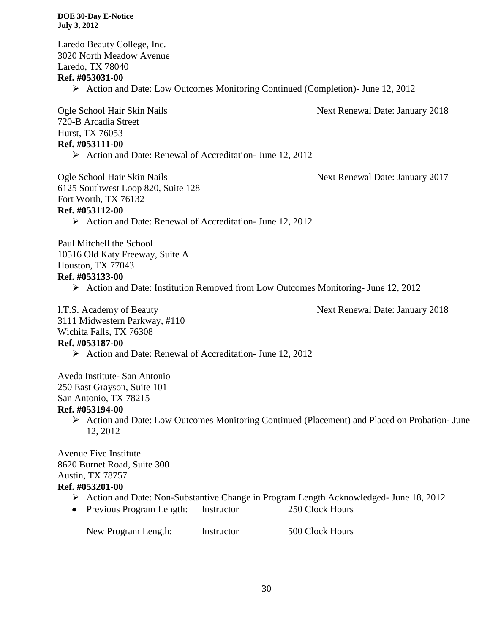Laredo Beauty College, Inc. 3020 North Meadow Avenue Laredo, TX 78040 **Ref. #053031-00** Action and Date: Low Outcomes Monitoring Continued (Completion)- June 12, 2012 Ogle School Hair Skin Nails Next Renewal Date: January 2018 720-B Arcadia Street Hurst, TX 76053 **Ref. #053111-00** Action and Date: Renewal of Accreditation- June 12, 2012 Ogle School Hair Skin Nails Next Renewal Date: January 2017 6125 Southwest Loop 820, Suite 128 Fort Worth, TX 76132 **Ref. #053112-00** Action and Date: Renewal of Accreditation- June 12, 2012 Paul Mitchell the School 10516 Old Katy Freeway, Suite A Houston, TX 77043 **Ref. #053133-00** Action and Date: Institution Removed from Low Outcomes Monitoring- June 12, 2012 I.T.S. Academy of Beauty **Next Renewal Date: January 2018** 3111 Midwestern Parkway, #110 Wichita Falls, TX 76308 **Ref. #053187-00**  $\triangleright$  Action and Date: Renewal of Accreditation- June 12, 2012 Aveda Institute- San Antonio 250 East Grayson, Suite 101 San Antonio, TX 78215 **Ref. #053194-00**  $\triangleright$  Action and Date: Low Outcomes Monitoring Continued (Placement) and Placed on Probation- June 12, 2012 Avenue Five Institute 8620 Burnet Road, Suite 300 Austin, TX 78757 **Ref. #053201-00** Action and Date: Non-Substantive Change in Program Length Acknowledged- June 18, 2012 • Previous Program Length: Instructor 250 Clock Hours New Program Length: Instructor 500 Clock Hours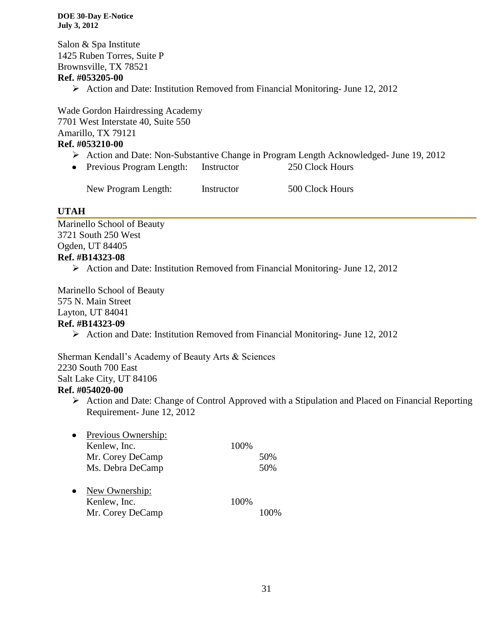Salon & Spa Institute 1425 Ruben Torres, Suite P Brownsville, TX 78521

#### **Ref. #053205-00**

 $\triangleright$  Action and Date: Institution Removed from Financial Monitoring- June 12, 2012

Wade Gordon Hairdressing Academy 7701 West Interstate 40, Suite 550 Amarillo, TX 79121 **Ref. #053210-00**

# Action and Date: Non-Substantive Change in Program Length Acknowledged- June 19, 2012

• Previous Program Length: Instructor 250 Clock Hours

New Program Length: Instructor 500 Clock Hours

# **UTAH**

Marinello School of Beauty 3721 South 250 West Ogden, UT 84405 **Ref. #B14323-08**

 $\triangleright$  Action and Date: Institution Removed from Financial Monitoring- June 12, 2012

Marinello School of Beauty 575 N. Main Street Layton, UT 84041 **Ref. #B14323-09**

 $\triangleright$  Action and Date: Institution Removed from Financial Monitoring- June 12, 2012

Sherman Kendall's Academy of Beauty Arts & Sciences 2230 South 700 East Salt Lake City, UT 84106 **Ref. #054020-00**

 $\triangleright$  Action and Date: Change of Control Approved with a Stipulation and Placed on Financial Reporting Requirement- June 12, 2012

| Previous Ownership: |      |     |
|---------------------|------|-----|
| Kenlew, Inc.        | 100% |     |
| Mr. Corey DeCamp    |      | 50% |
| Ms. Debra DeCamp    |      | 50% |
| New Ownership:      |      |     |
| Kenlew, Inc.        | 100% |     |
| Mr. Corey DeCamp    |      |     |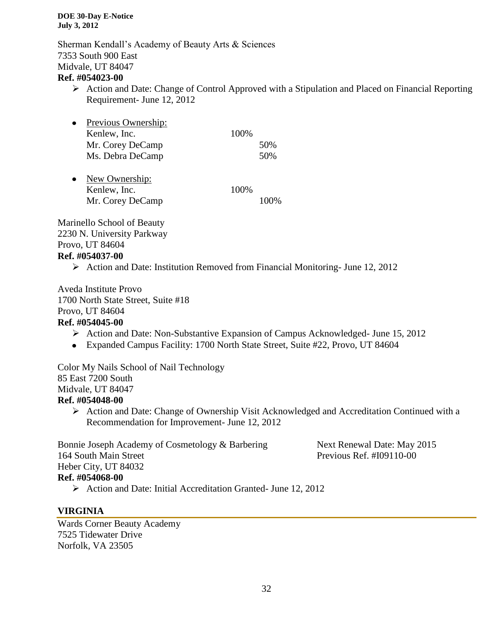Sherman Kendall's Academy of Beauty Arts & Sciences 7353 South 900 East Midvale, UT 84047

#### **Ref. #054023-00**

 $\triangleright$  Action and Date: Change of Control Approved with a Stipulation and Placed on Financial Reporting Requirement- June 12, 2012

| Previous Ownership: |      |     |
|---------------------|------|-----|
| Kenlew, Inc.        | 100% |     |
| Mr. Corey DeCamp    |      | 50% |
| Ms. Debra DeCamp    |      | 50% |
| New Ownership:      |      |     |
| Kenlew, Inc.        | 100% |     |
| Mr. Corey DeCamp    |      |     |

Marinello School of Beauty 2230 N. University Parkway Provo, UT 84604 **Ref. #054037-00**

 $\triangleright$  Action and Date: Institution Removed from Financial Monitoring- June 12, 2012

Aveda Institute Provo 1700 North State Street, Suite #18 Provo, UT 84604 **Ref. #054045-00**

- Action and Date: Non-Substantive Expansion of Campus Acknowledged- June 15, 2012
- Expanded Campus Facility: 1700 North State Street, Suite #22, Provo, UT 84604

Color My Nails School of Nail Technology 85 East 7200 South Midvale, UT 84047 **Ref. #054048-00**

 Action and Date: Change of Ownership Visit Acknowledged and Accreditation Continued with a Recommendation for Improvement- June 12, 2012

Bonnie Joseph Academy of Cosmetology & Barbering Next Renewal Date: May 2015 164 South Main Street Previous Ref. #I09110-00 Heber City, UT 84032 **Ref. #054068-00**

Action and Date: Initial Accreditation Granted- June 12, 2012

# **VIRGINIA**

Wards Corner Beauty Academy 7525 Tidewater Drive Norfolk, VA 23505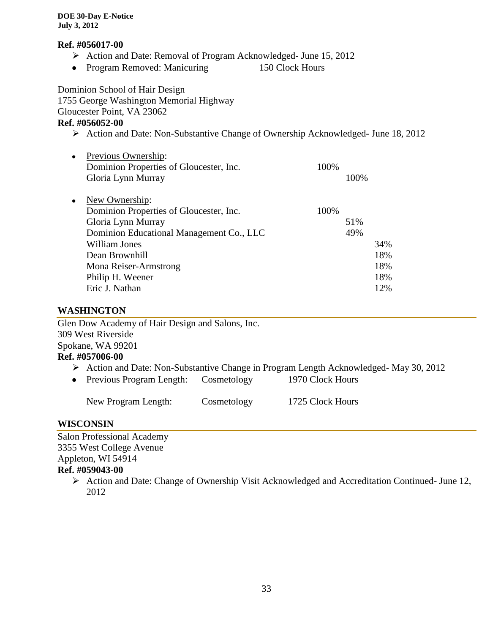#### **Ref. #056017-00**

- Action and Date: Removal of Program Acknowledged- June 15, 2012
- Program Removed: Manicuring 150 Clock Hours

Dominion School of Hair Design

1755 George Washington Memorial Highway Gloucester Point, VA 23062

# **Ref. #056052-00**

- Action and Date: Non-Substantive Change of Ownership Acknowledged- June 18, 2012
- Previous Ownership: Dominion Properties of Gloucester, Inc. 100% Gloria Lynn Murray 100% New Ownership:

| $1$ VCW $\cup$ WHC $\sin \theta$ .       |      |     |
|------------------------------------------|------|-----|
| Dominion Properties of Gloucester, Inc.  | 100% |     |
| Gloria Lynn Murray                       | 51%  |     |
| Dominion Educational Management Co., LLC | 49%  |     |
| William Jones                            |      | 34% |
| Dean Brownhill                           |      | 18% |
| Mona Reiser-Armstrong                    |      | 18% |
| Philip H. Weener                         |      | 18% |
| Eric J. Nathan                           |      | 12% |
|                                          |      |     |

# **WASHINGTON**

Glen Dow Academy of Hair Design and Salons, Inc. 309 West Riverside Spokane, WA 99201 **Ref. #057006-00**

- Action and Date: Non-Substantive Change in Program Length Acknowledged- May 30, 2012
- Previous Program Length: Cosmetology 1970 Clock Hours

#### **WISCONSIN**

Salon Professional Academy 3355 West College Avenue Appleton, WI 54914 **Ref. #059043-00**

> Action and Date: Change of Ownership Visit Acknowledged and Accreditation Continued- June 12, 2012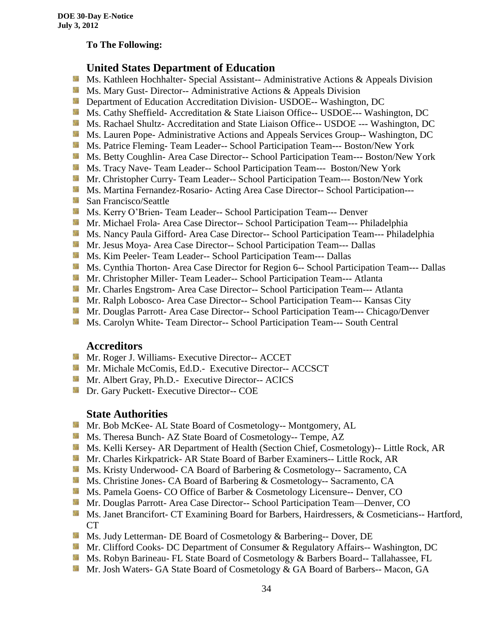#### **To The Following:**

# **United States Department of Education**

- 鬣 Ms. Kathleen Hochhalter- Special Assistant-- Administrative Actions & Appeals Division
- **Ms.** Mary Gust- Director-- Administrative Actions  $\&$  Appeals Division
- **Department of Education Accreditation Division- USDOE-- Washington, DC**
- Ms. Cathy Sheffield- Accreditation & State Liaison Office-- USDOE--- Washington, DC
- **MS. Rachael Shultz- Accreditation and State Liaison Office-- USDOE --- Washington, DC**
- Ms. Lauren Pope- Administrative Actions and Appeals Services Group-- Washington, DC
- Ms. Patrice Fleming-Team Leader-- School Participation Team--- Boston/New York
- **MS. Betty Coughlin- Area Case Director-- School Participation Team--- Boston/New York**
- Ms. Tracy Nave-Team Leader-- School Participation Team--- Boston/New York
- **Mr.** Christopher Curry- Team Leader-- School Participation Team--- Boston/New York
- Ms. Martina Fernandez-Rosario- Acting Area Case Director-- School Participation---
- **San Francisco/Seattle**
- **Ms. Kerry O'Brien- Team Leader-- School Participation Team--- Denver**
- **Mr. Michael Frola- Area Case Director-- School Participation Team--- Philadelphia**
- **Ms. Nancy Paula Gifford- Area Case Director-- School Participation Team--- Philadelphia**
- Mr. Jesus Moya- Area Case Director-- School Participation Team--- Dallas
- **MS. Kim Peeler-Team Leader-- School Participation Team--- Dallas**
- **Ms. Cynthia Thorton- Area Case Director for Region 6-- School Participation Team--- Dallas**
- **Mr. Christopher Miller-Team Leader-- School Participation Team--- Atlanta**
- **Mr.** Charles Engstrom- Area Case Director-- School Participation Team--- Atlanta
- **Mr. Ralph Lobosco- Area Case Director-- School Participation Team--- Kansas City**
- Mr. Douglas Parrott- Area Case Director-- School Participation Team--- Chicago/Denver
- **MS. Carolyn White-Team Director-- School Participation Team--- South Central**

# **Accreditors**

- **Mr. Roger J. Williams- Executive Director-- ACCET**
- **Mr. Michale McComis, Ed.D.- Executive Director-- ACCSCT**
- **Mr.** Albert Gray, Ph.D.- Executive Director-- ACICS
- **Dr.** Gary Puckett- Executive Director-- COE

# **State Authorities**

- **Mr. Bob McKee- AL State Board of Cosmetology-- Montgomery, AL**
- Ms. Theresa Bunch- AZ State Board of Cosmetology-- Tempe, AZ
- Ms. Kelli Kersey- AR Department of Health (Section Chief, Cosmetology)-- Little Rock, AR
- **Mr. Charles Kirkpatrick- AR State Board of Barber Examiners-- Little Rock, AR**
- Ms. Kristy Underwood- CA Board of Barbering & Cosmetology-- Sacramento, CA
- Ms. Christine Jones- CA Board of Barbering & Cosmetology-- Sacramento, CA
- **Ms. Pamela Goens- CO Office of Barber & Cosmetology Licensure-- Denver, CO**
- Mr. Douglas Parrott- Area Case Director-- School Participation Team—Denver, CO
- Ms. Janet Brancifort- CT Examining Board for Barbers, Hairdressers, & Cosmeticians-- Hartford, CT
- Ms. Judy Letterman- DE Board of Cosmetology & Barbering-- Dover, DE
- **Mr. Clifford Cooks- DC Department of Consumer & Regulatory Affairs-- Washington, DC**
- **Ms. Robyn Barineau- FL State Board of Cosmetology & Barbers Board-- Tallahassee, FL**
- **Mr.** Josh Waters- GA State Board of Cosmetology & GA Board of Barbers-- Macon, GA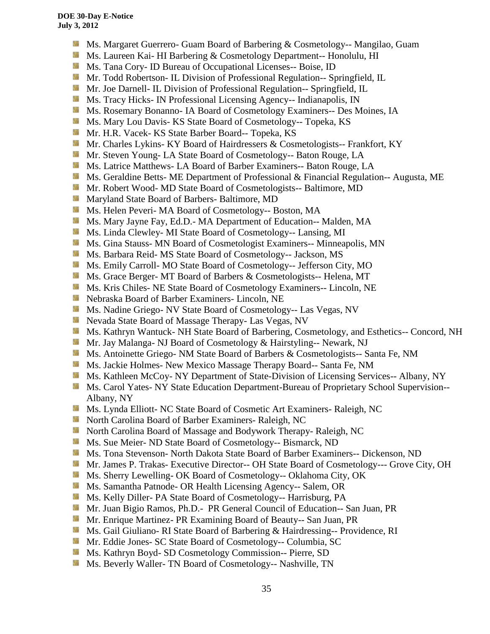- 漆 Ms. Margaret Guerrero- Guam Board of Barbering & Cosmetology-- Mangilao, Guam
- **MS. Laureen Kai- HI Barbering & Cosmetology Department-- Honolulu, HI**
- **Ms.** Tana Cory- ID Bureau of Occupational Licenses-- Boise, ID
- **Mr.** Todd Robertson- IL Division of Professional Regulation-- Springfield, IL
- **Mr. Joe Darnell- IL Division of Professional Regulation-- Springfield, IL**
- **MS.** Tracy Hicks- IN Professional Licensing Agency-- Indianapolis, IN
- **MS. Rosemary Bonanno- IA Board of Cosmetology Examiners-- Des Moines, IA**
- **Ms. Mary Lou Davis- KS State Board of Cosmetology-- Topeka, KS**
- SB. Mr. H.R. Vacek- KS State Barber Board-- Topeka, KS
- Mr. Charles Lykins- KY Board of Hairdressers & Cosmetologists-- Frankfort, KY
- **Mr.** Steven Young-LA State Board of Cosmetology-- Baton Rouge, LA
- 56 Ms. Latrice Matthews- LA Board of Barber Examiners-- Baton Rouge, LA
- Ms. Geraldine Betts- ME Department of Professional & Financial Regulation-- Augusta, ME
- Mr. Robert Wood- MD State Board of Cosmetologists-- Baltimore, MD
- **Maryland State Board of Barbers- Baltimore, MD**
- Ms. Helen Peveri- MA Board of Cosmetology-- Boston, MA
- Ms. Mary Jayne Fay, Ed.D.- MA Department of Education-- Malden, MA
- Ms. Linda Clewley- MI State Board of Cosmetology-- Lansing, MI
- **MS.** Gina Stauss- MN Board of Cosmetologist Examiners-- Minneapolis, MN
- Ms. Barbara Reid- MS State Board of Cosmetology-- Jackson, MS
- Ms. Emily Carroll- MO State Board of Cosmetology-- Jefferson City, MO
- Ms. Grace Berger- MT Board of Barbers & Cosmetologists-- Helena, MT
- Ms. Kris Chiles- NE State Board of Cosmetology Examiners-- Lincoln, NE
- Nebraska Board of Barber Examiners- Lincoln, NE
- Ms. Nadine Griego- NV State Board of Cosmetology-- Las Vegas, NV
- Nevada State Board of Massage Therapy- Las Vegas, NV
- **Ms. Kathryn Wantuck- NH State Board of Barbering, Cosmetology, and Esthetics-- Concord, NH**
- Mr. Jay Malanga- NJ Board of Cosmetology & Hairstyling-- Newark, NJ
- Ms. Antoinette Griego- NM State Board of Barbers & Cosmetologists-- Santa Fe, NM
- Ms. Jackie Holmes- New Mexico Massage Therapy Board-- Santa Fe, NM
- **Ms. Kathleen McCoy- NY Department of State-Division of Licensing Services-- Albany, NY**
- Sila Ms. Carol Yates- NY State Education Department-Bureau of Proprietary School Supervision-- Albany, NY
- Ms. Lynda Elliott- NC State Board of Cosmetic Art Examiners- Raleigh, NC
- **North Carolina Board of Barber Examiners- Raleigh, NC**
- **North Carolina Board of Massage and Bodywork Therapy- Raleigh, NC**
- **MS.** Sue Meier- ND State Board of Cosmetology-- Bismarck, ND
- Ms. Tona Stevenson- North Dakota State Board of Barber Examiners-- Dickenson, ND
- Mr. James P. Trakas- Executive Director-- OH State Board of Cosmetology--- Grove City, OH
- Ms. Sherry Lewelling- OK Board of Cosmetology-- Oklahoma City, OK
- **Ms. Samantha Patnode- OR Health Licensing Agency-- Salem, OR**
- Ms. Kelly Diller- PA State Board of Cosmetology-- Harrisburg, PA
- Mr. Juan Bigio Ramos, Ph.D.- PR General Council of Education-- San Juan, PR
- **Mr.** Enrique Martinez- PR Examining Board of Beauty-- San Juan, PR
- **Ms. Gail Giuliano- RI State Board of Barbering & Hairdressing-- Providence, RI**
- Mr. Eddie Jones- SC State Board of Cosmetology-- Columbia, SC
- Ms. Kathryn Boyd- SD Cosmetology Commission-- Pierre, SD
- **Ms. Beverly Waller- TN Board of Cosmetology-- Nashville, TN**